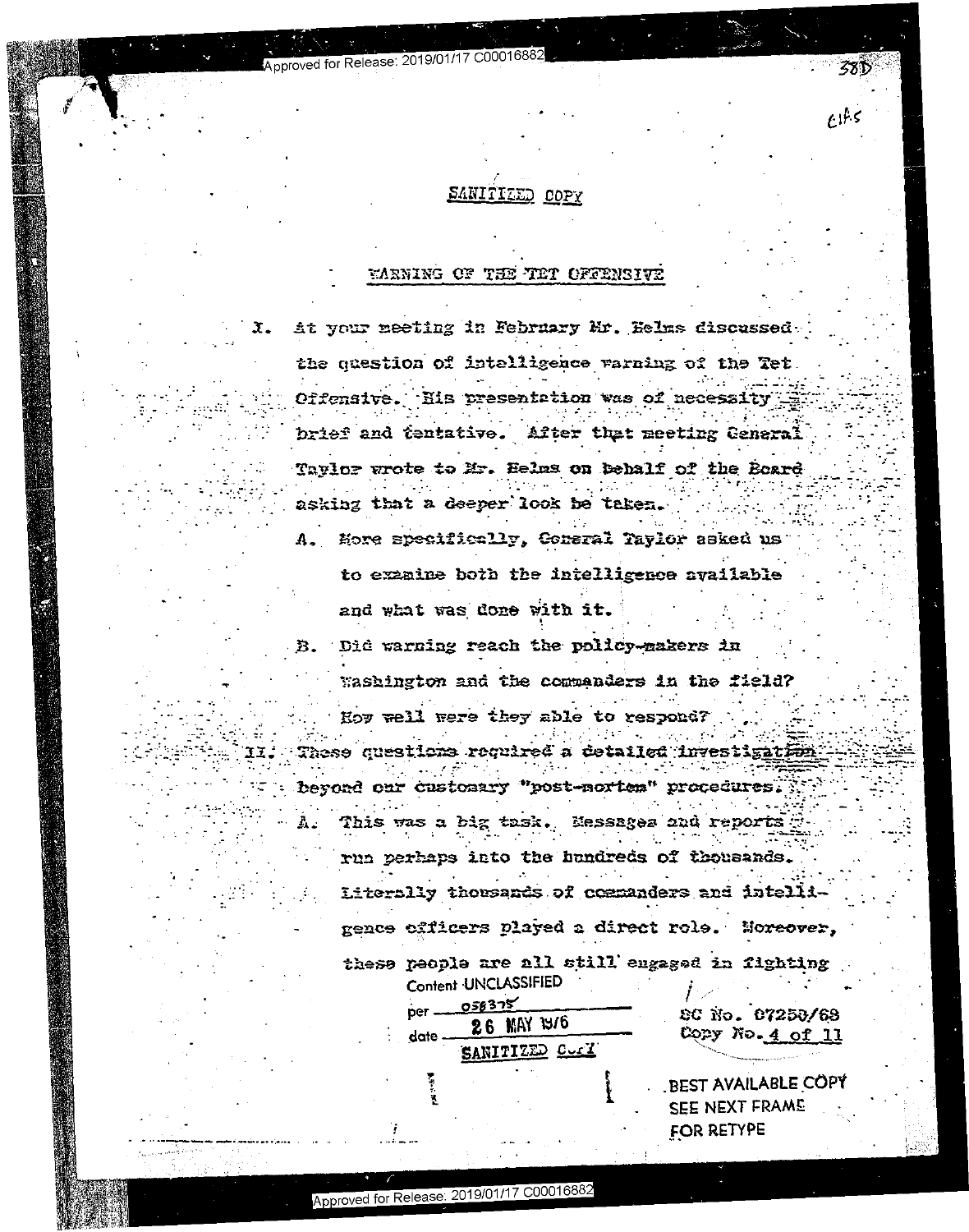# SANITIZED COPY

 $E1f.5$ 

Approved for Release: 2019/01/17 C00016

## WARNING OF THE TET OFFENSIVE

At your meeting in February Mr. Helms discussed.  $\mathfrak{X}$ . the question of intelligence varning of the Tet. Offensive. His presentation was of necessity brief and tentative. After that meeting General Tavlor wrote to Mr. Helms on behalf of the Board asking that a deeper look be taken. Hore specifically, Coneral Taylor asked us  $\mathbf{A}$ . to examine both the intelligence available and what was done with it. Did warning reach the policy-makers in В. Washington and the commanders in the field? Hoy well were they able to respond?  $\mathcal{L}^{\mathcal{L}}$  and  $\mathcal{L}^{\mathcal{L}}$  and  $\mathcal{L}^{\mathcal{L}}$  and  $\mathcal{L}^{\mathcal{L}}$ These questions required a detailed investigation beyord our customary "post-norten" procedures. This was a big task. Messages and reports Ł. run perhaps into the hundreds of thousands. Literally thousands of commanders and intelligence cfficers played a direct role. Moreover, these people are all still engaged in fighting Content UNCLASSIFIED  $0.58325$  $per -$ SC No. 07258/68 26 MAY 1976 Copy No. <u>4 of 11</u> date -SANITIZED COME **BEST AVAILABLE COPY** SEE NEXT FRAME

FOR RETYPE

Approved for Release: 2019/01/17 C00016882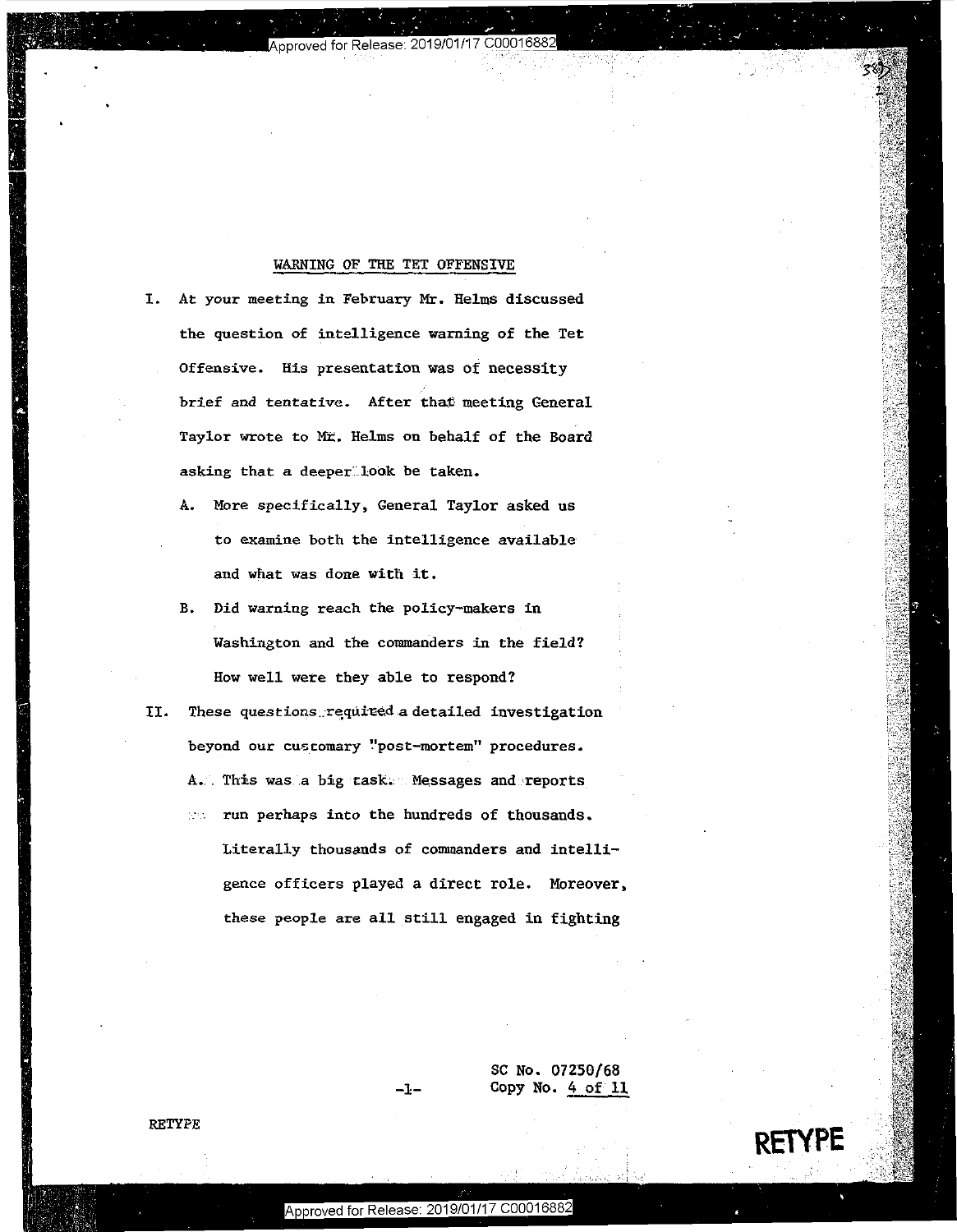#### WARNING OF THE TET OFFENSIVE WARNING OF THE TET OFFENSIVE

'I

pproved for Release:

" .. .-.'r

'n

 I" d" .' -. 1. 1|- |-' <sup>r</sup> <sup>I</sup> 1!:

 $\mathcal{P}^{\mathcal{P}}(\mathcal{P}) = \mathcal{P}^{\mathcal{P}}(\mathcal{P})$  is the set of  $\mathcal{P}^{\mathcal{P}}(\mathcal{P}) = \mathcal{P}^{\mathcal{P}}(\mathcal{P})$ 

- I. At your meeting in February Mr. Helms discussed the question of intelligence warning of the Tet the question of intelligence warning of the Tet **Offensive. His presentation was of necessity**  Offensive. His presentation was of neceSSity **brief and tentative. After that meeting General**  brief and tentative. After that meeting General Taylor wrote to ME. Helms on behalf of the Board **asking that a deeper:.:.look be taken.**  asking that <sup>a</sup> deeperllook be taken.
	- A. More specifically, General Taylor asked us A. More specifically, General Taylor asked us **to examine both the intelligence available**  to examine both the intelligence available **and what was done with it.**  and what was done with it.
	- B. Did warning reach the policy-makers in Washington and the commanders in the field? How well were they able to respond? How well were they able to respond?
- II. These questions required a detailed investigation beyond our customary "post-mortem" procedures. A. This was a big-cask. Messages and reports run perhaps into the hundreds of thousands. Literally thousands of commanders and intelli-Literally thOusands of commanders and intelli—

gence officers played a direct role. Moreover, gence officers played <sup>a</sup> direct role. Moreover, these people are all still engaged in fighting these people are allstill engaged in fighting

> SC No. 07250/68 \$0 No. 07250/68 -1- Copy No. 4 of 11

> > **RETYPE**

-l:-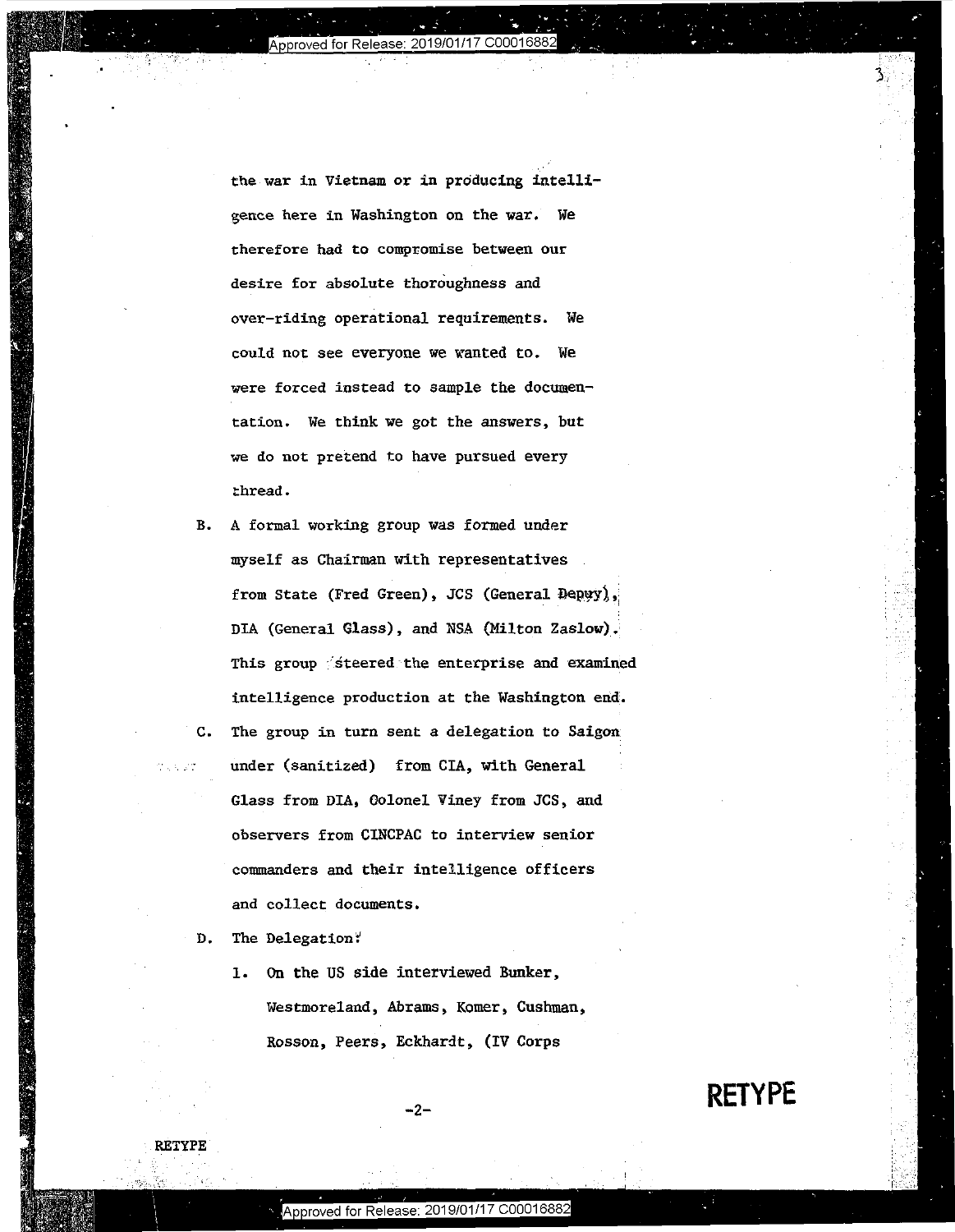proved for Release: 2019/01/17 C000168

, the contract of the contract of the contract of the contract of the contract of the contract of the contract of the contract of the contract of the contract of the contract of the contract of the contract of the contrac

IF .\_ q..

," 'We have the second that the second contract of the second contract of the second contract of the second contract of the second contract of the second contract of the second contract of the second contract of the second

.' .r

"

the war in Vietnam or in producing intelli-the war in Vietnam or in producing intelligence here in Washington on the war. We gence here in Hashington on the war. WE therefore had to compromise between our therefore had to compromise between our desire for absolute thoroughness and desire for absolute thoroughness and over-riding operational requirements. We over—riding Operational requirements. we could not see everyone we wanted to. We were forced instead to sample the documen-were forced instead to sample the documentation. We think we got the answers, but tation. We think we got the answers, but we do not pretend to have pursued every we do not pretend to have pursued every **thread.**  thread. I

B. A formal working group was formed under B. A formal working group was formed under myself as Chairman with representatives myself as Chairman with representatives from State (Fred Green), JCS (General Depyy), DIA (General Glass), and NSA (Milton Zaslow). This group  $\hat{\ }$  steered the enterprise and examined intelligence production at the Washington end. intelligence production at the washington end; C. The group in turn sent a delegation to Saigon C. The group in turn sent <sup>a</sup> delegation to Saigon under (sanitized) from CIA, with General under (sanitized) from CIA, with General Glass from DIA, Golonel Viney from JCS, and observers from CINCPAC to interview senior observers from CINCPAC to interview senior commanders and their intelligence officers and collect documents. and collect docnments.

D. The Delegation:

**RETYPE** 

1, On the US side interviewed Bunker, 1. 0n the US side interviewed Bunker, Westmoreland, Abrams, Komer, Cushman, Westmoreland, Abrams, Komer, Cushman, Rosson, Peers, Eckhardt, (IV Corps Rosson, Peers. Eckhardt, (IV Corps

**RETYPE**   $-2$  . RETYPE  $-$ 

3,

-2-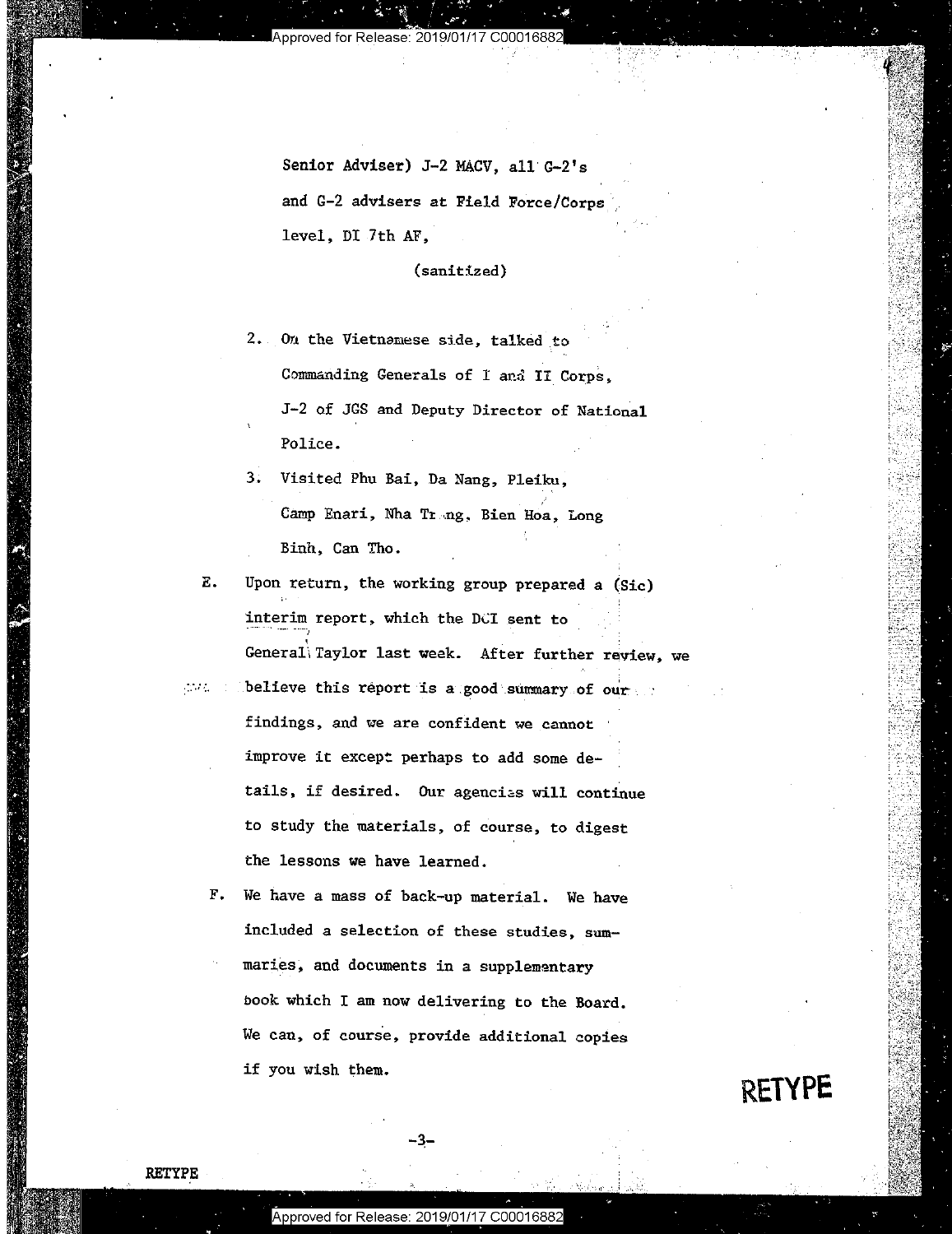Ina- . I." \*'

. 31.!"

Senior Adviser) J-2 MACV, all G-2's and G-2 advisers at Field Force/Corpsference and G-2 advisers at Field Force/Corps level, DI 7th AF, level, DI.7th AF,'

(sanitized) (sanitized)

2. On the Vietnamese side, talked to Commanding Generals of I and II Corps, J-2 of JGS and Deputy Director of National J-2 of JGS and Deputy Director of National Police. Police.

3. Visited Phu Bai, Da Nang, Pleiku, 3.. Visited Phu Bai, Da Nang, Pleiku; Camp Enari, Nha Trang, Bien Hoa, Long Binh, Can Tho. Binh, Can Tho.

**E.** Upon return, the working group prepared a (Sic) interim report, which the DCI sent to  $\mathtt{General}\backslash$  Taylor last week. After further review, we

 $\Box$ believe this report is a good summary of our  $\Box$  $\sim 10^{11}$  m  $^{-1}$ **findings, and we are confident we cannot 1' Except and Server All Annual Server All Annual Server All Annual Server All Annual Server All Annual Server All Annual Server All Annual Server All Annual Server All Annual Serv** improve it except perhaps to add some de- $\overline{a}$ tails, if desired. Our agencias will continue to study the materials, of course, to digest to study the materials, of course, to digest the lessons we have learned. the lessons we have learned.

F. We have a mass of back-up material. We have included a selection of these studies, summaries, and documents in a supplementary book which I am now delivering to the Board. book which <sup>I</sup> am now delivering to the Board. **We can, of course, provide additional copies**  we can, of course, provide additional copies if you wish them. if you wish them.

**RETYPE** 

.....

**RETYPE** 

-3-

 $-3$   $-$ 

 $\overline{\phantom{a}}$  .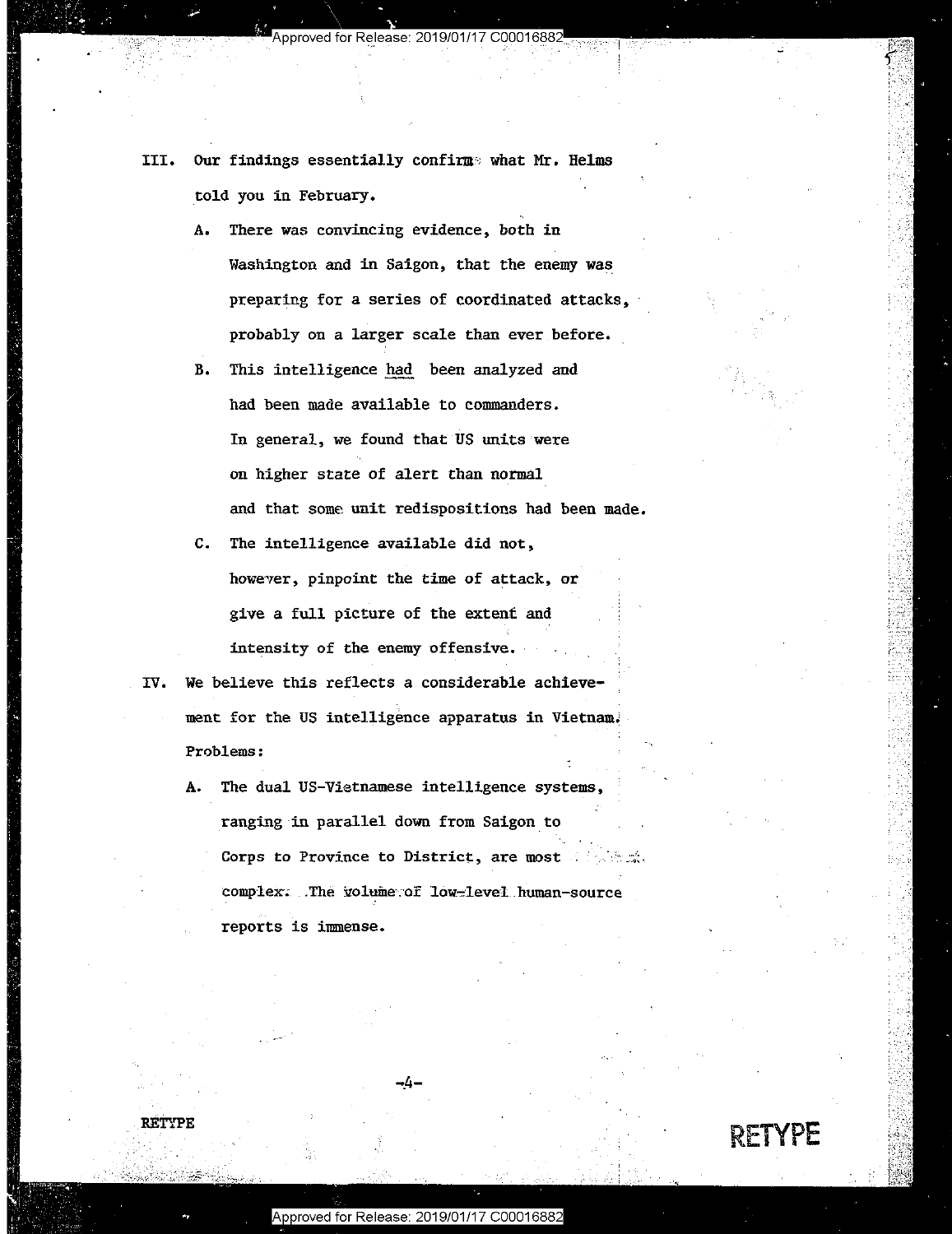./ .

- III. Our findings essentially confirme: what Mr, Helms III. Our findings essentially confirms what Mr. Helms told you in February, Itold you in February.
	- A. There was convincing evidence, both in A. There was convincing evidence, both in Washington and in Saigon, that the enemy was preparing for a series of coordinated attacks, probably on a larger scale than ever before. probably on <sup>a</sup> larger scale than ever.before.
	- B. This intelligence had been analyzed and had been made available to commanders. had been made available to commanders. In general, we found that US units were In general, we found that US units were on higher state of alert than normal on higher state of alert than normal' and that some unit redispositions had been made. and that some unit redispositions had been made.
	- C. The intelligence available did not, The intelligence available did not, however, pinpoint the time of attack, or give a full picture of the extent and intensity of the enemy offensive.
- IV. We believe this reflects a considerable achieve- $\mathbb{R}$  meat for the US intelligence apparatus in Vietnam. Problems: Problems:
	- A. The dual US-Vietnamese intelligence systems, The dual US—Vietnamese intelligence systems, ranging in parallel down from Saigon to Corps to Province to District, are most  $\mathbb{R}^n$  is the complex: .The volume of low-level human-source reports is immense. reports is immense. ... ,: A.



RETYPE

-.4-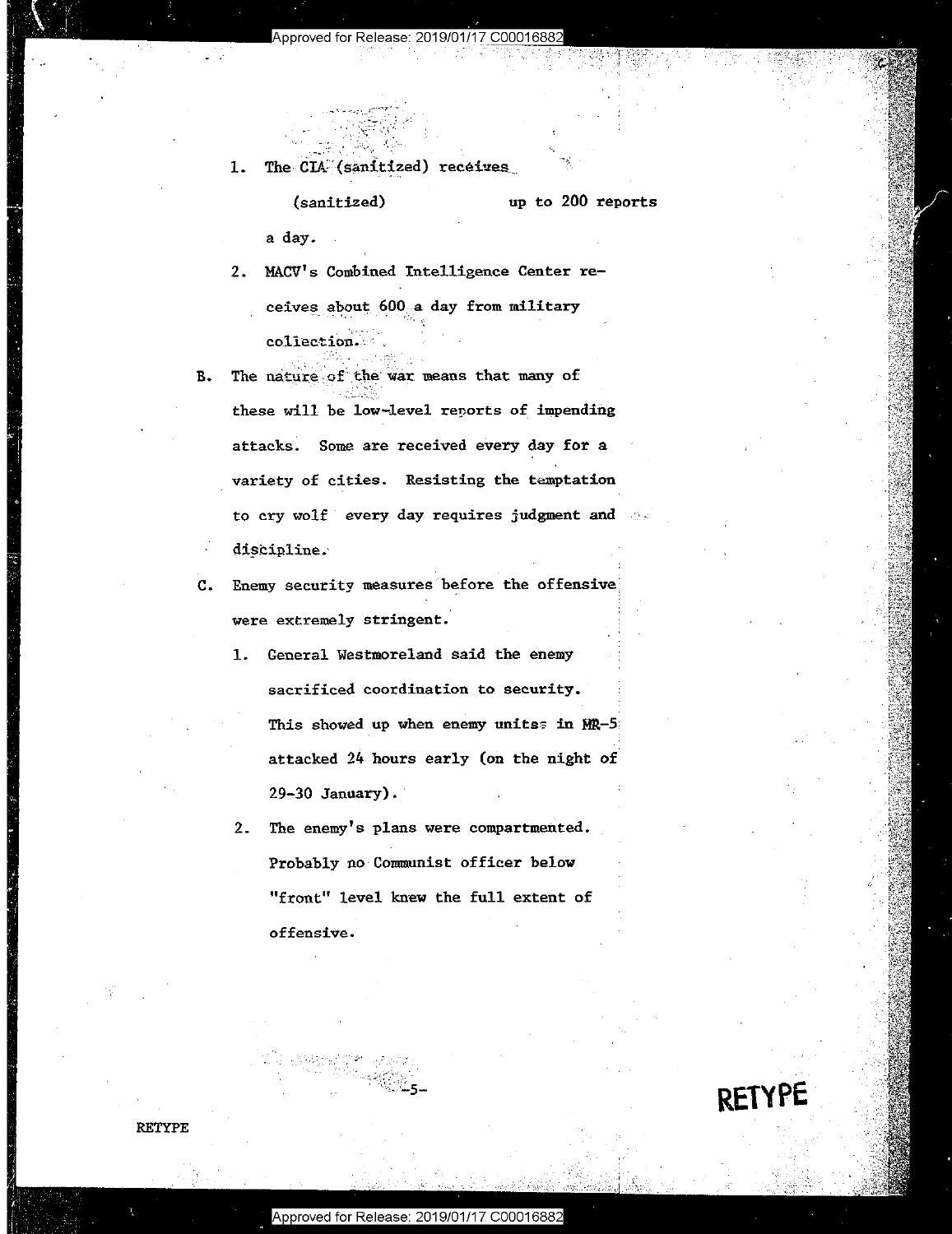#### Approved for Release: 2019/01/17 C0001688

The CIA (sanitized) receives  $1.$ 

#### up to 200 reports (sanitized)

a day.

- 2. MACV's Combined Intelligence Center receives about 600 a day from military collection.
- $B -$ The nature of the war means that many of these will be low-level reports of impending attacks. Some are received every day for a variety of cities. Resisting the temptation to cry wolf every day requires judgment and discipline.
- Enemy security measures before the offensive  $C_{\bullet}$ were extremely stringent.
	- 1. General Westmoreland said the enemy sacrificed coordination to security. This showed up when enemy unitss in MR-5 attacked 24 hours early (on the night of  $29-30$  January).
	- 2. The enemy's plans were compartmented. Probably no Communist officer below "front" level knew the full extent of offensive.

**RETYPE** 

**RETYPE**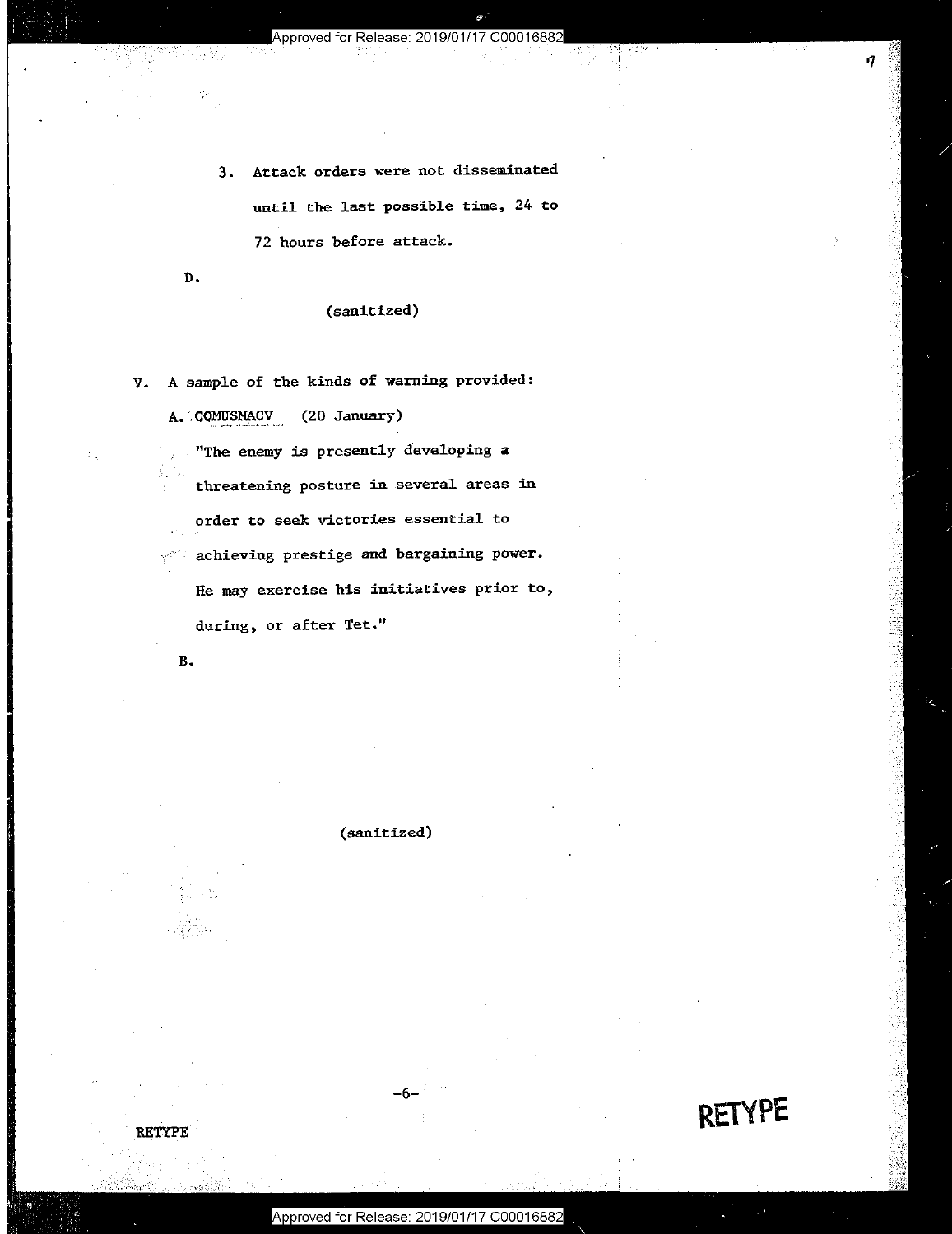.... -,.--- **Ill** ••• \_ Approyed for Release: 201QIO'II'I 7 C\_QQO'I\_\_6\_8\_82 \_

 $9.7<sup>2</sup>$ 

3. Attack orders were not disseminated 3. Attack orders were not disseminated until the last possible time, 24 to until the last possible time, <sup>24</sup> to 72 hours before attack. 72 hours before attack.

D.

# (sanitized) (sanitized)

V. A sample of the kinds of warning provided:

A. COMUSMACV (20 January)

"The enemy is presently developing a threatening posture in several areas in order to seek victories essential to order to seek victories essential to  $\gamma^\infty$  achieving prestige and bargaining power. He may exercise his initiatives prior to, He may exercise his initiatives prior to, during, or after Tet. <sup>11</sup> during, or after Tet."

**B.** 

**RETYPE** 

**(sanitized)**  (sanitized)

**RETYPE** 

 $\overline{\phantom{a}}$ 

**-6-**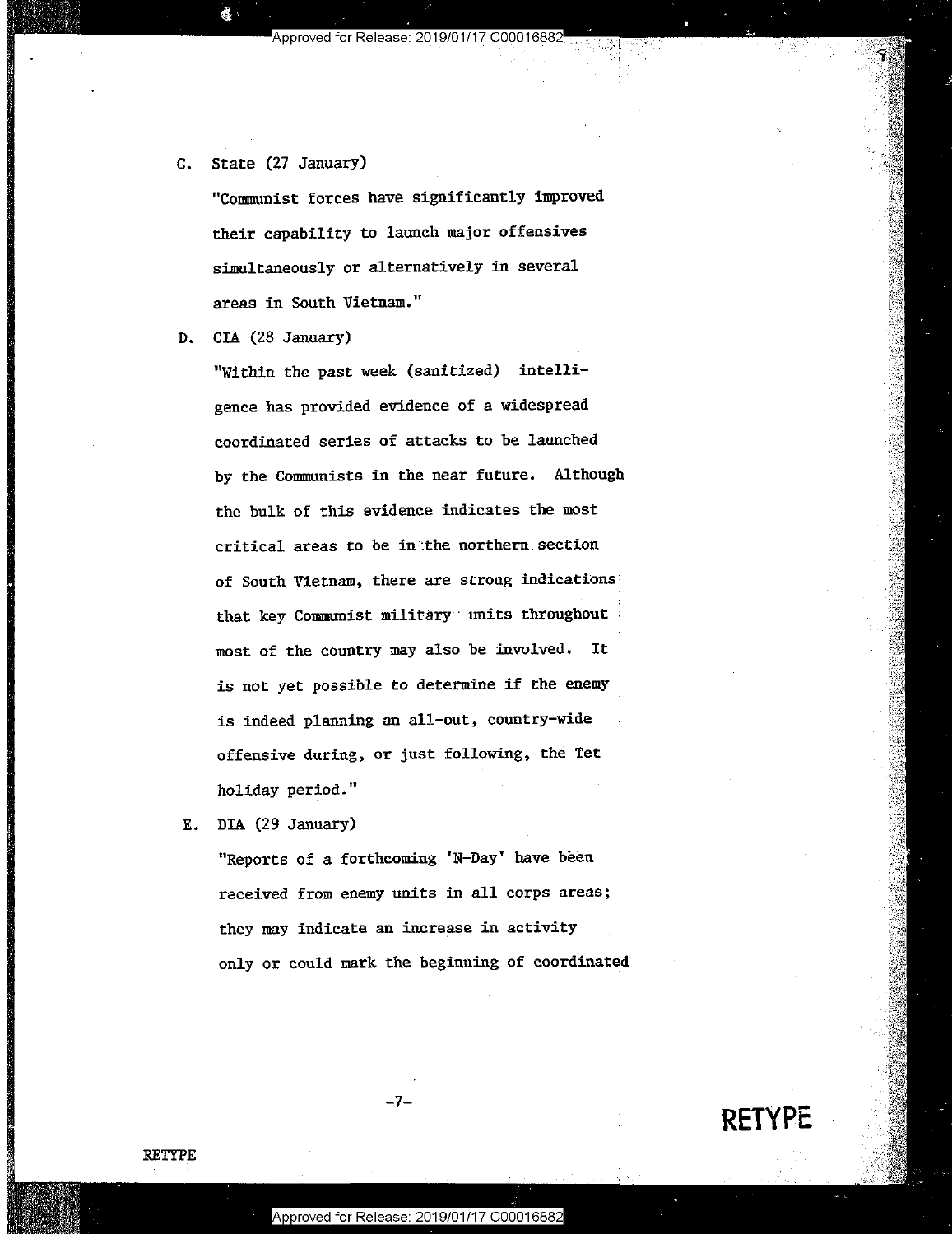C. State (27 January) State (27 January)

"Communist forces have significantly improved "Communist forces have significantly improved their capability to launch major offensives their capability to launch major offensives simultaneously or alternatively in several areas in South Vietnam." areas in South Vietnam."

D. CIA (28 January) CIA (28 January)

"Within the past week (sanitized) intelli-"Within the past week (sanitized) intelligence has provided evidence of a widespread gence has provided evidence of <sup>a</sup> widespread coordinated series of attacks to be launched coordinated series of attacks to be launched by the Communists in the near future. Although the bulk of this evidence indicates the most critical areas to be in:the northern section critical areas to be ingthe northern section of South Vietnam, there are strong indications of South Vietnam, there are strong indications? that key Communist military units throughout most of the country may also be involved. It most of the country may also be involved. It is not yet possible to determine if the enemy is not yet possible to determine if the enemy : is indeed planning an all-out, country-wide is indeed planning an all-out, country-wide offensive during, or just following, the Tet offensive during, or just following, the Tet holiday period." holiday period." <sup>I</sup>

E. DIA (29 January) BIA (29 January)

"Reports of a forthcoming 'N-Day' have been received from enemy units in all corps areas; received from enemy units in all corps areas; they may indicate an increase in activity they may indicate an increase in activity only or could mark the beginning of coordinated only or could mark the beginning of coordinated

RETYPE

**RETYPE** 

-7-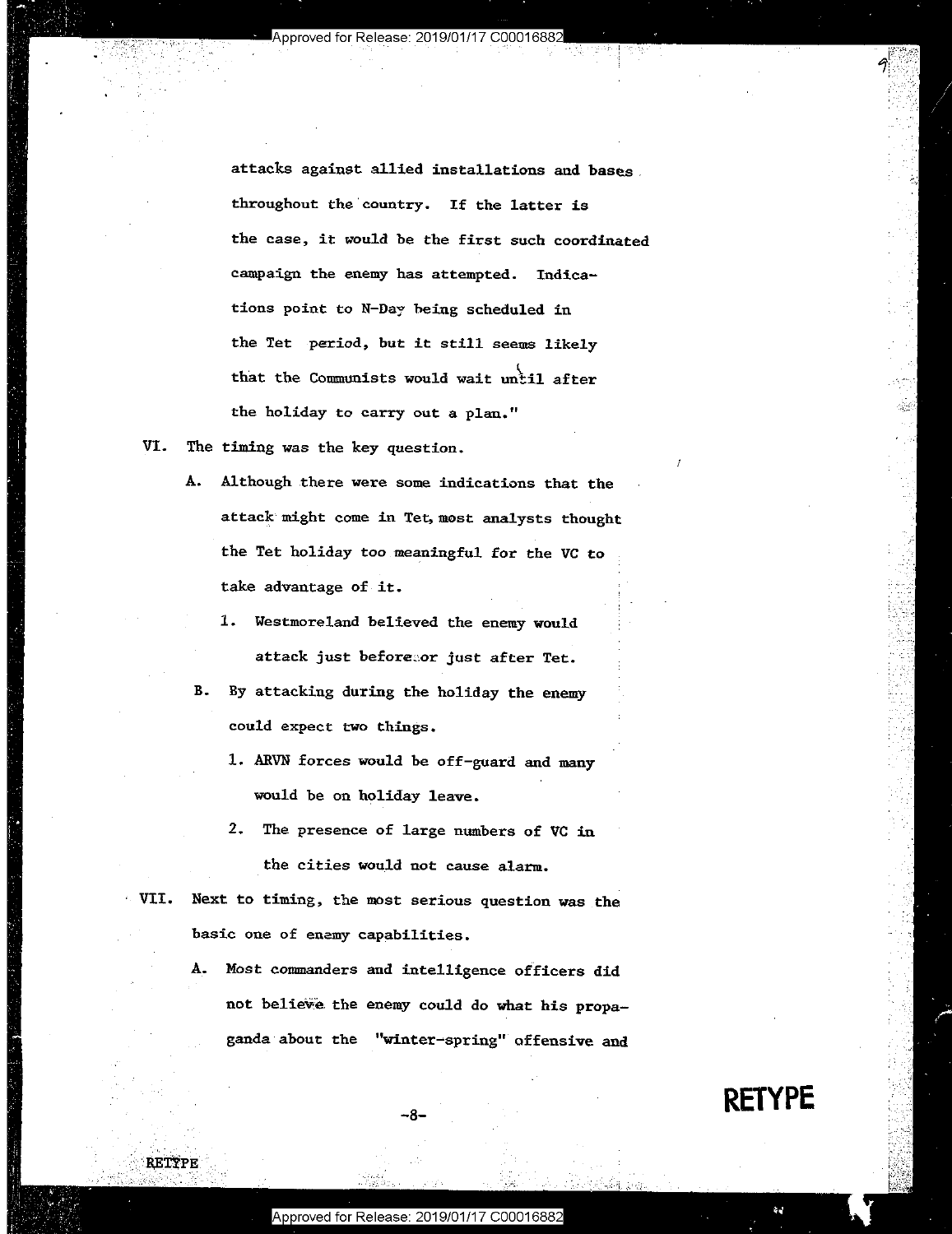attacks against allied installations and **bases.**  attacks against allied installations and bases. **throughout the'country. If the latter is**  throughout the country. If the latter is **the case, it ~"Ould be the first such coordinated**  the case, it would be the first such coordinated **campaign the enemy has attempted. Indica-**campaign the enemy has attempted. Indica **tions point to N-Day being scheduled in**  tions point to NFDay being scheduled in **the Tet period, but it still seems likely**  the Tet -period, but it still seems likely that the Communists would wait until after **the holiday to carry out a plan."** The state of the state of  $\mathbb{R}^3$ 

VI. The timing was the key question. VI. The timing was the key question.

i»

**RETYPE** 

'

- **A. Although there were some indications that the**  A. Although there were some indications that the **attack might come in Tet,most analysts thought**  attach might come in Tet,most analysts thought the Tet holiday too meaningful for the VC to take advantage of it.
	- 1. Westmoreland believed the enemy would 1. Westmoreland believed the enemj would attack just before**eor just after Tet.**
- B. By attacking during the holiday the enemy B. By attacking during the holiday the enemy **could expect two things.**  . could expect two things.
	- 1. ARVN forces would he off-guard and many 1. ARVN forces would be off-guard and many would be on holiday leave. would be on holiday leave. <sup>I</sup>
- 2. The presence of large numbers of VC in **the cities would not cause alarm.** 
	- **VII. Next to timing, the most serious question was the basic one of enamy capabilities.**  basic one of enemy capabilities.
		- A. Most commanders and intelligence officers did A. Host commanders and intelligence officers did not believe the enemy could do what his propaganda about the **"winter-spring"** offensive and

-8-

**RETYPE**  RETYPE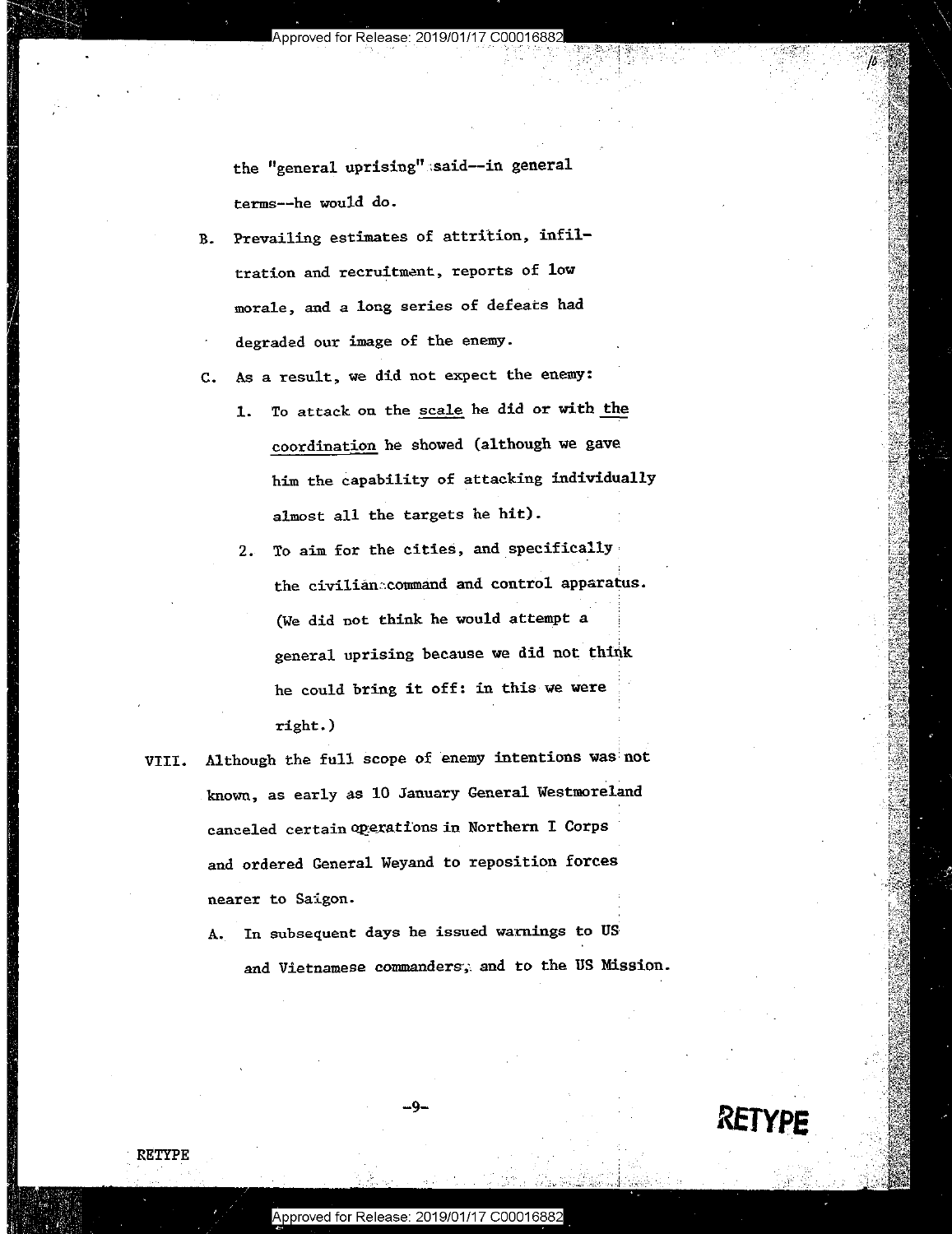the "general uprising";said--in general terms--he would do. terms——he would do.

B. Prevailing estimates of attrition, infil-B. Prevailing estimates of attrition, infil **tration and recruitment, reports of low**  tration and recruitment, reports of low **EXECUTE:** morale, and a long series of defeats had degraded our image of the enemy. degraded our image of the enemy.

C. As a result, we did not expect the enemy: C. As <sup>a</sup> result, we did not expect the enemy:

- 1. To attack on the scale he did or with the coordination he showed (although we gave coordination he showed (although we gave him the capability of attacking individually him the capability of attacking individually almost all the targets he hit).
- **2. To aim for the cities, and specifically**  2. To aim for the cities, and\_specificallyf **the civilian::command and control apparatus.**  the civilian command and control apparatus. (We did not think he would attempt a  $\qquad \qquad$ general uprising because we did not think he could bring it off: in this we were  $\texttt{right.}$ )
- VIII. Although the full scope of enemy intentions was not \_\_\_\_\_ VIII. Although the full scope of enemy intentions wasinot known, as early as 10 January General Westmoreland canceled certain operations in Northern I Corps and ordered General Weyand to reposition forces and ordered General Heyand to reposition forces **nearer to Saigon.**  nearer to Saigon.
	- A. In subsequent days he issued warnings to US **and Vietnamese commanders··,: and to the US Mission.**  and Vietnamese commanders; and to the US Mission.





RETYPE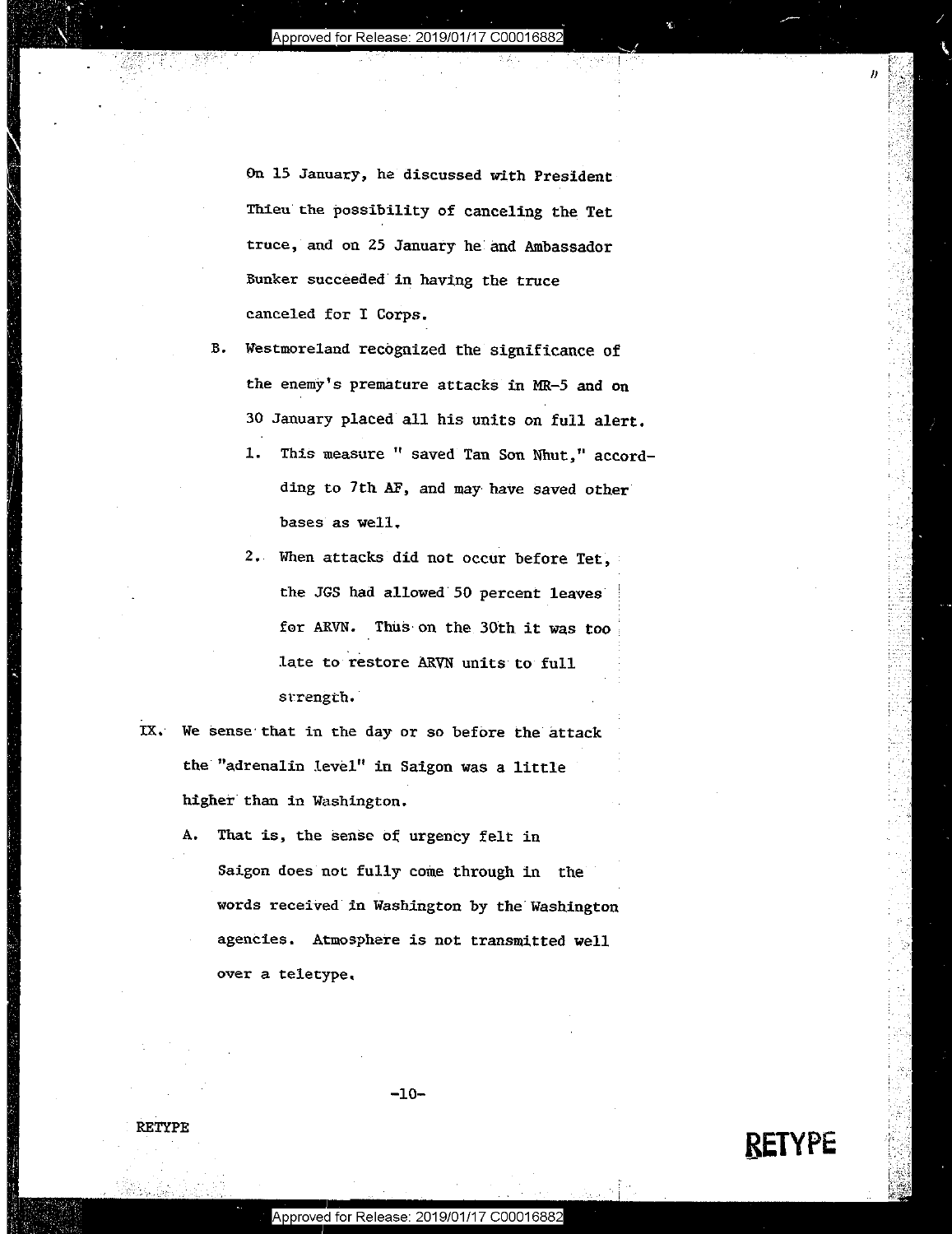On 15 January, he discussed with President On <sup>15</sup> January, he discussed with President-Thieu the possibility of canceling the Tet Thieu the possibility of canceling the Tet truce, and on 25 January he:and Ambassador truce, and on 25 January he and Ambassador **Bunker succeeded in having the truce**  Bunker succeeded in having the truce canceled for I Corps. canceled for I Corps.

- B. Westmoreland recognized the significance of the enemy's premature attacks in MR-5 and on 30 January placed all his units on full alert.
- **1.** This measure " saved Tan Son Nhut," accordding to 7th AF, and may have saved other **bases as well ..**  bases as well.
	- 2. When attacks did not occur before Tet, the JGS had allowed 50 percent leaves for ARVN. Thus on the 30th it was too late to restore ARVN units to full **st~rength.**  strength.'
	- IX. We sense that in the day or so before the attack **the·"adrenalin level" in Saigon was a little**  the "adrenalin level" in Saigon was <sup>a</sup> little ' **higher than in Washington.**
- A. That is, the sense of urgency felt in Saigon does not fully come through in the words received in Washington by the Washington agencies. Atmosphere is not transmitted well ageneies. Atmosphere is not transmitted well **over a teletype,**  over <sup>a</sup> teletype.

-10-

### RETYPE

W. - Andrew March 2008

**RETYPE**  BETYPE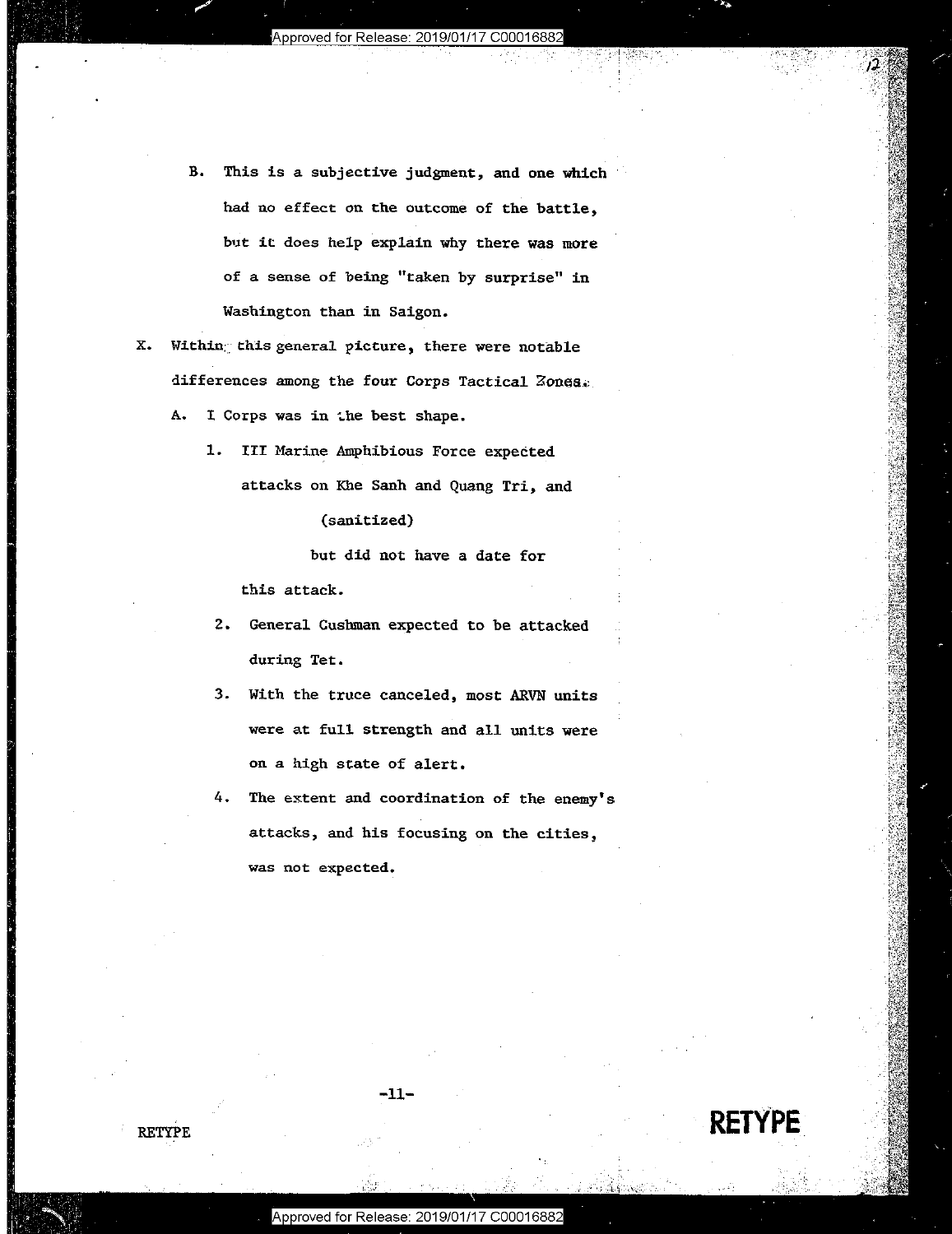- B. This is a subjective judgment, and one which B. This is <sup>a</sup> subjective judgment, and one which 8' had no effect on the outcome of the battle, **b1.1t it: does help explain why there was more**  but it does help explain why there was more **of a sense of being 0 taken by surprise" in**  of <sup>a</sup> sense of being "taken by surprise" in **Washington than in Saigon.**  washington than in Saigon.
- **x. Within::: th.is general picture, there were notable**  X. Within; this general picture, there were notable differences among the four Corps Tactical Zones.
	- A. I Corps was in the best shape.

:',.

1. III Marine Amphibious Force expected attacks on Khe Sanh and Quang Tri, and attacks on Khe Sanh and Quang Tri, and

(sanitized) (sanitized)

but did not have a date for but did not have <sup>a</sup> date for

this attack. this attack.

- 2. General Cushman expected to be attacked 2. General Cushman expected to be attacked **during Tet.**  during Tet.
- 3. With the truce canceled, most ARVN units 3. With the truce canceled, most ARVN units were at full strength and all units were were at full strength and all units were on a high state of alert. on <sup>a</sup> high state of alert.
- **4. The e~tent and coordination of the enemy's**  4. The extent and coordination of the enemy's **attacks, and his focusing on the cities,**  attacks, and his focusing on the cities, **was not expected.**  was not expected.

RETYPE

**RETYPE.** 

-11-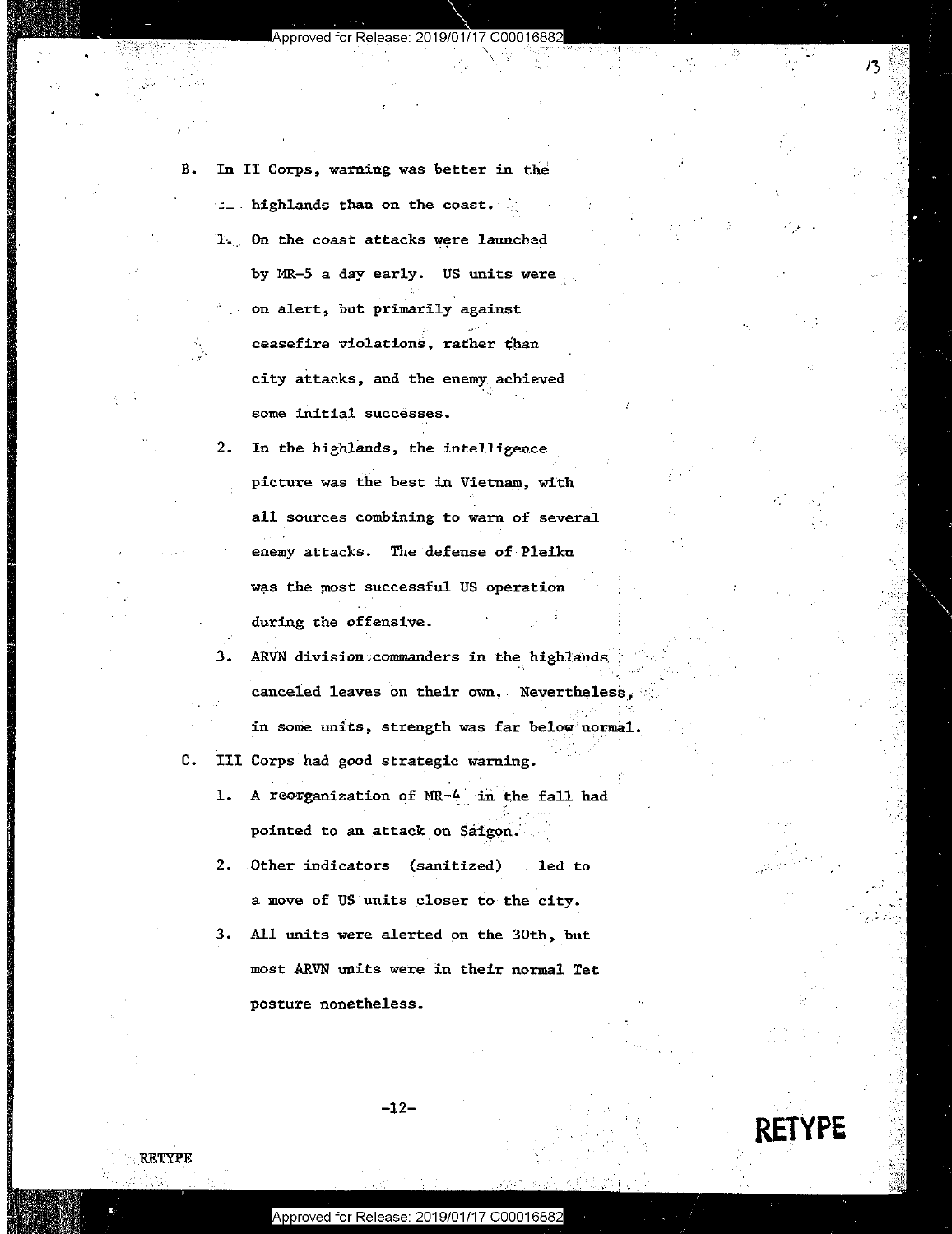Approved for Release: 2019/01

| In II Corps, warning was better in the                 |
|--------------------------------------------------------|
| $\therefore$ highlands than on the coast. $\therefore$ |
| 1. On the coast attacks were launched                  |
| by MR-5 a day early. US units were                     |
| on alert, but primarily against                        |
| ceasefire violations, rather than                      |
| city attacks, and the enemy achieved                   |
| eoma initial euccassas                                 |

R

**RETYPE** 

 $2.$ In the highlands, the intelligence picture was the best in Vietnam, with all sources combining to warn of several enemy attacks. The defense of Pleiku was the most successful US operation during the offensive.

3. ARVN division commanders in the highlands canceled leaves on their own, Nevertheless, in some units, strength was far below normal.

c. III Corps had good strategic warning.

1. A reorganization of MR-4 in the fall had pointed to an attack on Saigon.

2. Other indicators (sanitized) led to a move of US units closer to the city.

3. All units were alerted on the 30th, but most ARVN units were in their normal Tet posture nonetheless.

 $-12-$ 

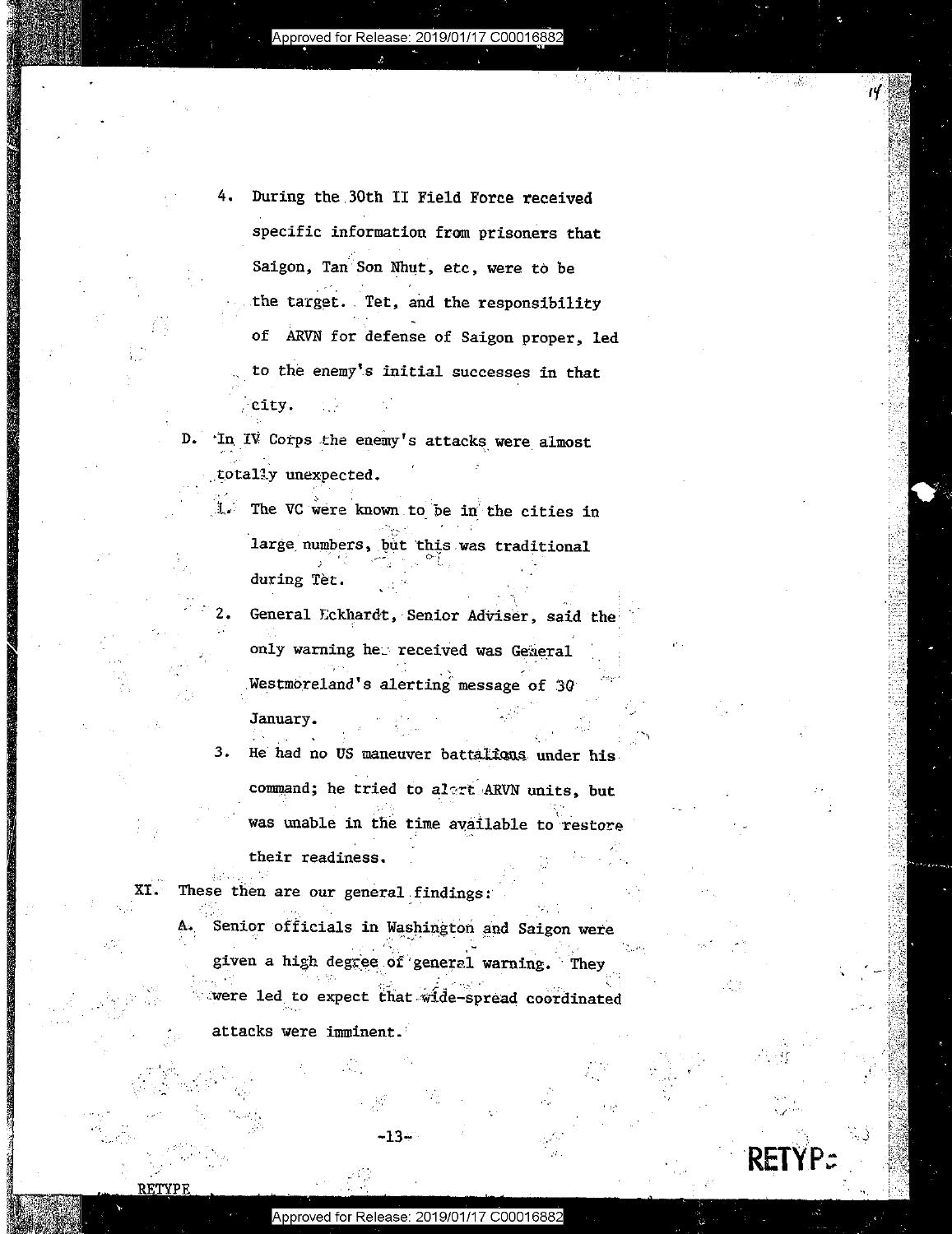Approved for Release: 2019/01/17 C00016882

- During the 30th II Field Force received specific information from prisoners that Saigon, Tan Son Nhut, etc, were to be the target. Tet, and the responsibility of ARVN for defense of Saigon proper, led to the enemy's initial successes in that city.
- D. In IV Corps the enemy's attacks were almost totally unexpected.
	- 1. The VC were known to be in the cities in large numbers, but this was traditional during Tet.
	- General Eckhardt, Senior Adviser, said the only warning her received was General Westmoreland's alerting message of 30

January. He had no US maneuver battalicus under his  $3.$ command; he tried to alert ARVN units, but was unable in the time available to restore

their readiness.

These then are our general findings:

Senior officials in Washington and Saigon were given a high degree of general warning. They were led to expect that wide-spread coordinated

33

attacks were imminent.

XI.

RETYPE

-13-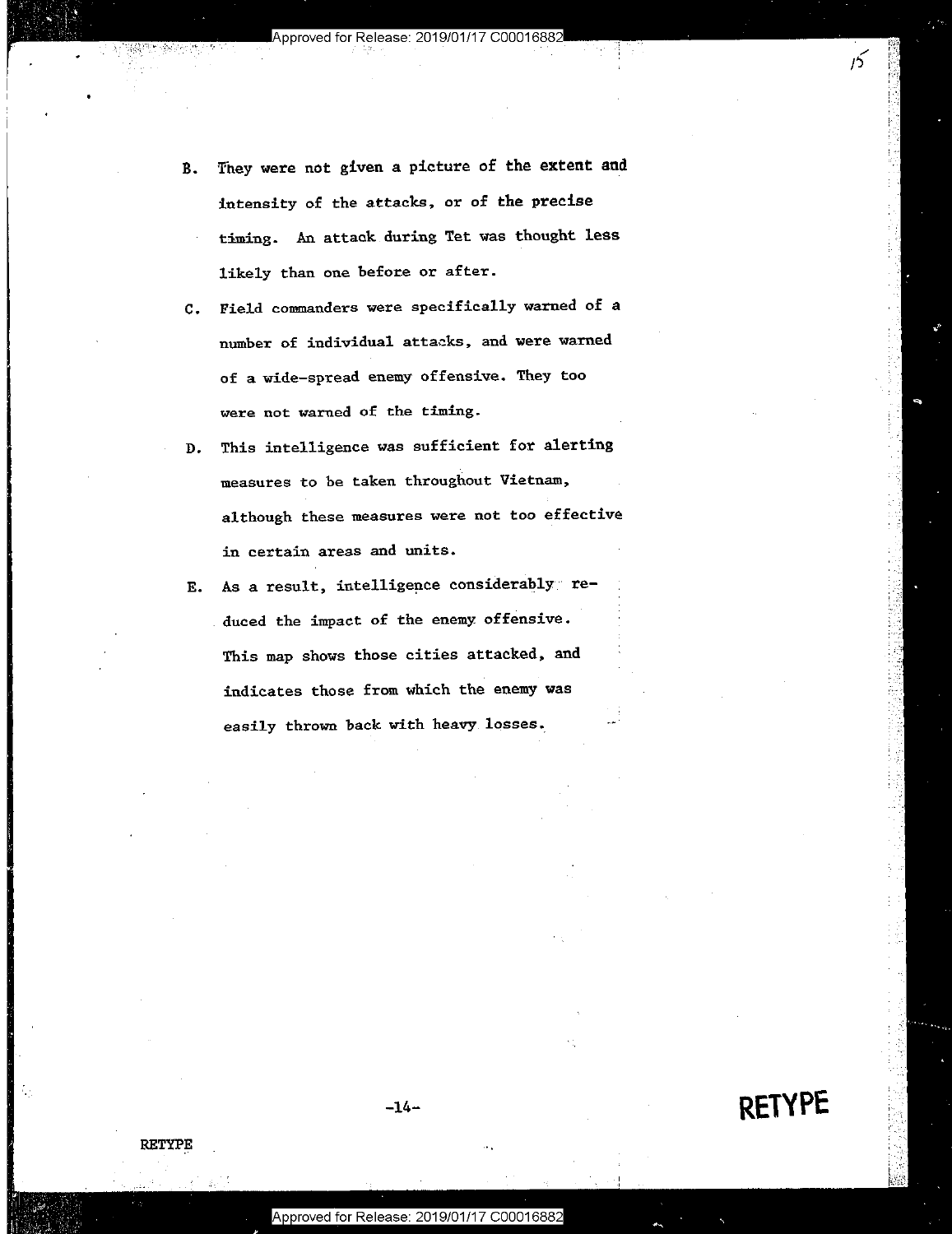- B. They were not given a picture of the extent and intensity of the attacks, or of the precise intensity of the attacks, or of the precise timing. An attack during Tet was thought less likely than one before or after.
- **C. Field commanders were specifically warned of a**  Field commanders were specifically warned of <sup>a</sup> **number of individual attacks, and were warned**  number of individual attacks, and were warned **of a wide-spread enemy offensive. They too**  of <sup>a</sup> wide—spread enemy offensive. They too **were not warned of the timing.**  were not warned of the timing.
- D. This intelligence was sufficient for alerting This intelligence was sufficient for alerting **measures to be taken throughout Vietnam,**  measures to be taken throughout Vietnam, **although these measures were not too effective**  although these measures were not too effective **in certain areas and units.**  in certain areas and units.
- E. As **a** result, intelligence considerably· re-As <sup>a</sup> result, intelligence considerably? re duced the impact of the enemy offensive. This map shows those cities attacked, and This map shows these cities attacked, and indicates those from which the enemy was indicates those from which the enemy was easily thrown back with heavy losses.

1'3

1"

0·1 :,,' t:i:::'.: :,< '. r(.'i:,: *·\·)*